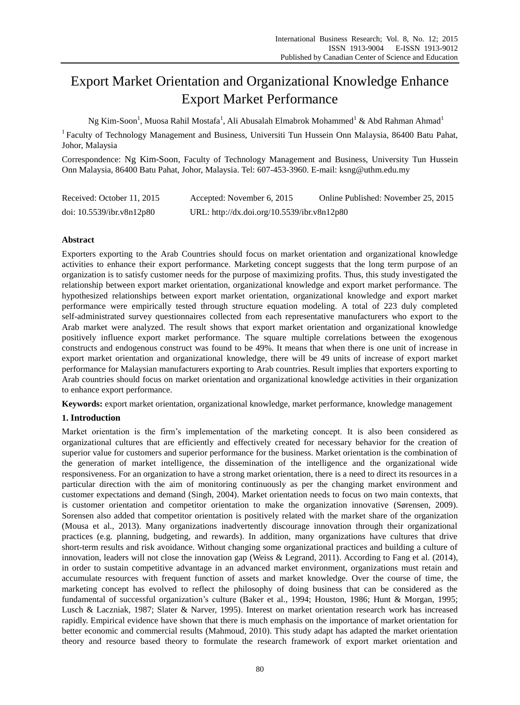# Export Market Orientation and Organizational Knowledge Enhance Export Market Performance

Ng Kim-Soon $^{\rm l}$ , Muosa Rahil Mostafa $^{\rm l}$ , Ali Abusalah Elmabrok Mohammed $^{\rm l}$  & Abd Rahman Ahmad $^{\rm l}$ 

<sup>1</sup> Faculty of Technology Management and Business, Universiti Tun Hussein Onn Malaysia, 86400 Batu Pahat, Johor, Malaysia

Correspondence: Ng Kim-Soon, Faculty of Technology Management and Business, University Tun Hussein Onn Malaysia, 86400 Batu Pahat, Johor, Malaysia. Tel: 607-453-3960. E-mail: ksng@uthm.edu.my

| Received: October 11, 2015   | Accepted: November 6, 2015                  | Online Published: November 25, 2015 |
|------------------------------|---------------------------------------------|-------------------------------------|
| doi: $10.5539$ /ibr.v8n12p80 | URL: http://dx.doi.org/10.5539/ibr.v8n12p80 |                                     |

## **Abstract**

Exporters exporting to the Arab Countries should focus on market orientation and organizational knowledge activities to enhance their export performance. Marketing concept suggests that the long term purpose of an organization is to satisfy customer needs for the purpose of maximizing profits. Thus, this study investigated the relationship between export market orientation, organizational knowledge and export market performance. The hypothesized relationships between export market orientation, organizational knowledge and export market performance were empirically tested through structure equation modeling. A total of 223 duly completed self-administrated survey questionnaires collected from each representative manufacturers who export to the Arab market were analyzed. The result shows that export market orientation and organizational knowledge positively influence export market performance. The square multiple correlations between the exogenous constructs and endogenous construct was found to be 49%. It means that when there is one unit of increase in export market orientation and organizational knowledge, there will be 49 units of increase of export market performance for Malaysian manufacturers exporting to Arab countries. Result implies that exporters exporting to Arab countries should focus on market orientation and organizational knowledge activities in their organization to enhance export performance.

**Keywords:** export market orientation, organizational knowledge, market performance, knowledge management

## **1. Introduction**

Market orientation is the firm's implementation of the marketing concept. It is also been considered as organizational cultures that are efficiently and effectively created for necessary behavior for the creation of superior value for customers and superior performance for the business. Market orientation is the combination of the generation of market intelligence, the dissemination of the intelligence and the organizational wide responsiveness. For an organization to have a strong market orientation, there is a need to direct its resources in a particular direction with the aim of monitoring continuously as per the changing market environment and customer expectations and demand (Singh, 2004). Market orientation needs to focus on two main contexts, that is customer orientation and competitor orientation to make the organization innovative (Sørensen, 2009). Sorensen also added that competitor orientation is positively related with the market share of the organization (Mousa et al., 2013). Many organizations inadvertently discourage innovation through their organizational practices (e.g. planning, budgeting, and rewards). In addition, many organizations have cultures that drive short-term results and risk avoidance. Without changing some organizational practices and building a culture of innovation, leaders will not close the innovation gap (Weiss & Legrand, 2011). According to Fang et al. (2014), in order to sustain competitive advantage in an advanced market environment, organizations must retain and accumulate resources with frequent function of assets and market knowledge. Over the course of time, the marketing concept has evolved to reflect the philosophy of doing business that can be considered as the fundamental of successful organization's culture (Baker et al., 1994; [Houston, 1986;](#page-6-0) Hunt & Morgan, 1995; Lusch & Laczniak, 1987; Slater & Narver, 1995). Interest on market orientation research work has increased rapidly. Empirical evidence have shown that there is much emphasis on the importance of market orientation for better economic and commercial results (Mahmoud, 2010). This study adapt has adapted the market orientation theory and resource based theory to formulate the research framework of export market orientation and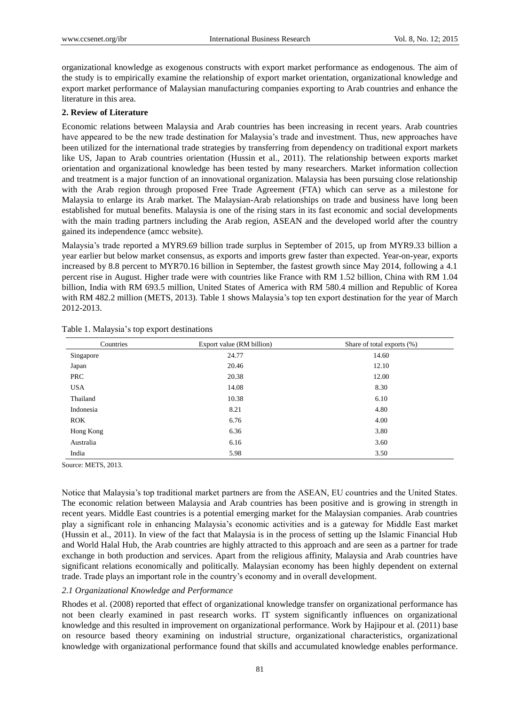organizational knowledge as exogenous constructs with export market performance as endogenous. The aim of the study is to empirically examine the relationship of export market orientation, organizational knowledge and export market performance of Malaysian manufacturing companies exporting to Arab countries and enhance the literature in this area.

#### **2. Review of Literature**

Economic relations between Malaysia and Arab countries has been increasing in recent years. Arab countries have appeared to be the new trade destination for Malaysia's trade and investment. Thus, new approaches have been utilized for the international trade strategies by transferring from dependency on traditional export markets like US, Japan to Arab countries orientation (Hussin et al., 2011). The relationship between exports market orientation and organizational knowledge has been tested by many researchers. Market information collection and treatment is a major function of an innovational organization. Malaysia has been pursuing close relationship with the Arab region through proposed Free Trade Agreement (FTA) which can serve as a milestone for Malaysia to enlarge its Arab market. The Malaysian-Arab relationships on trade and business have long been established for mutual benefits. Malaysia is one of the rising stars in its fast economic and social developments with the main trading partners including the Arab region, ASEAN and the developed world after the country gained its independence (amcc website).

Malaysia's trade reported a MYR9.69 billion trade surplus in September of 2015, up from MYR9.33 billion a year earlier but below market consensus, as exports and imports grew faster than expected. Year-on-year, exports increased by 8.8 percent to MYR70.16 billion in September, the fastest growth since May 2014, following a 4.1 percent rise in August. Higher trade were with countries like France with RM 1.52 billion, China with RM 1.04 billion, India with RM 693.5 million, United States of America with RM 580.4 million and Republic of Korea with RM 482.2 million (METS, 2013). Table 1 shows Malaysia's top ten export destination for the year of March 2012-2013.

| Countries  | Export value (RM billion) | Share of total exports (%) |
|------------|---------------------------|----------------------------|
| Singapore  | 24.77                     | 14.60                      |
| Japan      | 20.46                     | 12.10                      |
| PRC        | 20.38                     | 12.00                      |
| <b>USA</b> | 14.08                     | 8.30                       |
| Thailand   | 10.38                     | 6.10                       |
| Indonesia  | 8.21                      | 4.80                       |
| <b>ROK</b> | 6.76                      | 4.00                       |
| Hong Kong  | 6.36                      | 3.80                       |
| Australia  | 6.16                      | 3.60                       |
| India      | 5.98                      | 3.50                       |

Table 1. Malaysia's top export destinations

Source: METS, 2013.

Notice that Malaysia's top traditional market partners are from the ASEAN, EU countries and the United States. The economic relation between Malaysia and Arab countries has been positive and is growing in strength in recent years. Middle East countries is a potential emerging market for the Malaysian companies. Arab countries play a significant role in enhancing Malaysia's economic activities and is a gateway for Middle East market (Hussin et al., 2011). In view of the fact that Malaysia is in the process of setting up the Islamic Financial Hub and World Halal Hub, the Arab countries are highly attracted to this approach and are seen as a partner for trade exchange in both production and services. Apart from the religious affinity, Malaysia and Arab countries have significant relations economically and politically. Malaysian economy has been highly dependent on external trade. Trade plays an important role in the country's economy and in overall development.

#### *2.1 Organizational Knowledge and Performance*

Rhodes et al. [\(2008\)](#page-7-0) reported that effect of organizational knowledge transfer on organizational performance has not been clearly examined in past research works. IT system significantly influences on organizational knowledge and this resulted in improvement on organizational performance. Work by Hajipour et al. (2011) base on resource based theory examining on industrial structure, organizational characteristics, organizational knowledge with organizational performance found that skills and accumulated knowledge enables performance.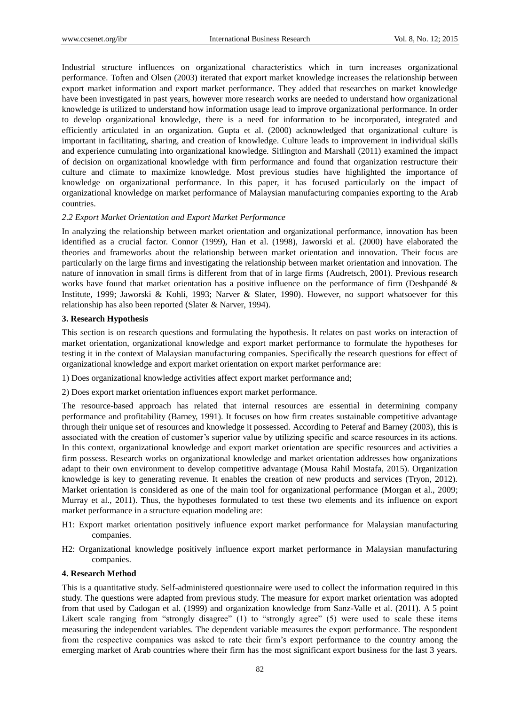Industrial structure influences on organizational characteristics which in turn increases organizational performance. Toften and Olsen (2003) iterated that export market knowledge increases the relationship between export market information and export market performance. They added that researches on market knowledge have been investigated in past years, however more research works are needed to understand how organizational knowledge is utilized to understand how information usage lead to improve organizational performance. In order to develop organizational knowledge, there is a need for information to be incorporated, integrated and efficiently articulated in an organization. Gupta et al. (2000) acknowledged that organizational culture is important in facilitating, sharing, and creation of knowledge. Culture leads to improvement in individual skills and experience cumulating into organizational knowledge. Sitlington and Marshall (2011) examined the impact of decision on organizational knowledge with firm performance and found that organization restructure their culture and climate to maximize knowledge. Most previous studies have highlighted the importance of knowledge on organizational performance. In this paper, it has focused particularly on the impact of organizational knowledge on market performance of Malaysian manufacturing companies exporting to the Arab countries.

#### *2.2 Export Market Orientation and Export Market Performance*

In analyzing the relationship between market orientation and organizational performance, innovation has been identified as a crucial factor. Connor (1999), Han et al. (1998), Jaworski et al. (2000) have elaborated the theories and frameworks about the relationship between market orientation and innovation. Their focus are particularly on the large firms and investigating the relationship between market orientation and innovation. The nature of innovation in small firms is different from that of in large firms (Audretsch, 2001). Previous research works have found that market orientation has a positive influence on the performance of firm (Deshpandé & Institute, 1999; Jaworski & Kohli, 1993; Narver & Slater, 1990). However, no support whatsoever for this relationship has also been reported (Slater & Narver, 1994).

#### **3. Research Hypothesis**

This section is on research questions and formulating the hypothesis. It relates on past works on interaction of market orientation, organizational knowledge and export market performance to formulate the hypotheses for testing it in the context of Malaysian manufacturing companies. Specifically the research questions for effect of organizational knowledge and export market orientation on export market performance are:

1) Does organizational knowledge activities affect export market performance and;

2) Does export market orientation influences export market performance.

The resource-based approach has related that internal resources are essential in determining company performance and profitability (Barney, 1991). It focuses on how firm creates sustainable competitive advantage through their unique set of resources and knowledge it possessed. According to Peteraf and Barney (2003), this is associated with the creation of customer's superior value by utilizing specific and scarce resources in its actions. In this context, organizational knowledge and export market orientation are specific resources and activities a firm possess. Research works on organizational knowledge and market orientation addresses how organizations adapt to their own environment to develop competitive advantage (Mousa Rahil Mostafa, 2015). Organization knowledge is key to generating revenue. It enables the creation of new products and services (Tryon, 2012). Market orientation is considered as one of the main tool for organizational performance (Morgan et al., 2009; Murray et al., 2011). Thus, the hypotheses formulated to test these two elements and its influence on export market performance in a structure equation modeling are:

- H1: Export market orientation positively influence export market performance for Malaysian manufacturing companies.
- H2: Organizational knowledge positively influence export market performance in Malaysian manufacturing companies.

#### **4. Research Method**

This is a quantitative study. Self-administered questionnaire were used to collect the information required in this study. The questions were adapted from previous study. The measure for export market orientation was adopted from that used by Cadogan et al. (1999) and organization knowledge from Sanz-Valle et al. (2011). A 5 point Likert scale ranging from "strongly disagree" (1) to "strongly agree" (5) were used to scale these items measuring the independent variables. The dependent variable measures the export performance. The respondent from the respective companies was asked to rate their firm's export performance to the country among the emerging market of Arab countries where their firm has the most significant export business for the last 3 years.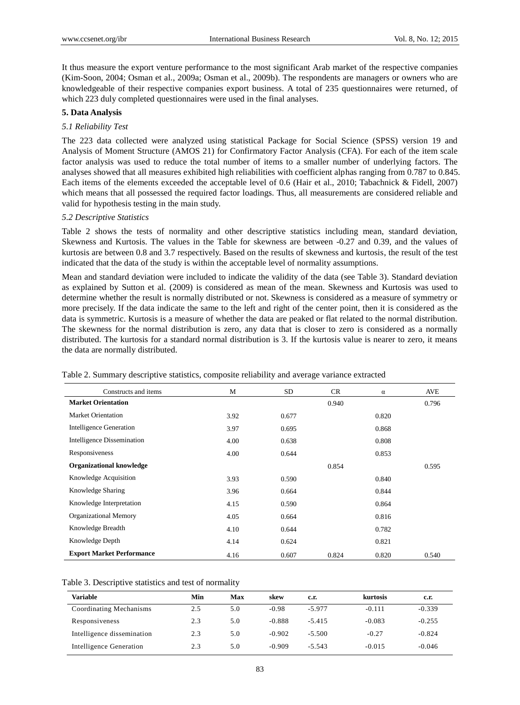It thus measure the export venture performance to the most significant Arab market of the respective companies (Kim-Soon, 2004; Osman et al., 2009a; Osman et al., 2009b). The respondents are managers or owners who are knowledgeable of their respective companies export business. A total of 235 questionnaires were returned, of which 223 duly completed questionnaires were used in the final analyses.

#### **5. Data Analysis**

#### *5.1 Reliability Test*

The 223 data collected were analyzed using statistical Package for Social Science (SPSS) version 19 and Analysis of Moment Structure (AMOS 21) for Confirmatory Factor Analysis (CFA). For each of the item scale factor analysis was used to reduce the total number of items to a smaller number of underlying factors. The analyses showed that all measures exhibited high reliabilities with coefficient alphas ranging from 0.787 to 0.845. Each items of the elements exceeded the acceptable level of 0.6 (Hair et al., 2010; Tabachnick & Fidell, 2007) which means that all possessed the required factor loadings. Thus, all measurements are considered reliable and valid for hypothesis testing in the main study.

#### *5.2 Descriptive Statistics*

Table 2 shows the tests of normality and other descriptive statistics including mean, standard deviation, Skewness and Kurtosis. The values in the Table for skewness are between -0.27 and 0.39, and the values of kurtosis are between 0.8 and 3.7 respectively. Based on the results of skewness and kurtosis, the result of the test indicated that the data of the study is within the acceptable level of normality assumptions.

Mean and standard deviation were included to indicate the validity of the data (see Table 3). Standard deviation as explained by Sutton et al. (2009) is considered as mean of the mean. Skewness and Kurtosis was used to determine whether the result is normally distributed or not. Skewness is considered as a measure of symmetry or more precisely. If the data indicate the same to the left and right of the center point, then it is considered as the data is symmetric. Kurtosis is a measure of whether the data are peaked or flat related to the normal distribution. The skewness for the normal distribution is zero, any data that is closer to zero is considered as a normally distributed. The kurtosis for a standard normal distribution is 3. If the kurtosis value is nearer to zero, it means the data are normally distributed.

| Constructs and items              | M    | <b>SD</b> |       |       |       |
|-----------------------------------|------|-----------|-------|-------|-------|
|                                   |      |           | CR.   | α     | AVE   |
| <b>Market Orientation</b>         |      |           | 0.940 |       | 0.796 |
| <b>Market Orientation</b>         | 3.92 | 0.677     |       | 0.820 |       |
| <b>Intelligence Generation</b>    | 3.97 | 0.695     |       | 0.868 |       |
| <b>Intelligence Dissemination</b> | 4.00 | 0.638     |       | 0.808 |       |
| Responsiveness                    | 4.00 | 0.644     |       | 0.853 |       |
| <b>Organizational knowledge</b>   |      |           | 0.854 |       | 0.595 |
| Knowledge Acquisition             | 3.93 | 0.590     |       | 0.840 |       |
| Knowledge Sharing                 | 3.96 | 0.664     |       | 0.844 |       |
| Knowledge Interpretation          | 4.15 | 0.590     |       | 0.864 |       |
| <b>Organizational Memory</b>      | 4.05 | 0.664     |       | 0.816 |       |
| Knowledge Breadth                 | 4.10 | 0.644     |       | 0.782 |       |
| Knowledge Depth                   | 4.14 | 0.624     |       | 0.821 |       |
| <b>Export Market Performance</b>  | 4.16 | 0.607     | 0.824 | 0.820 | 0.540 |

Table 2. Summary descriptive statistics, composite reliability and average variance extracted

| Table 3. Descriptive statistics and test of normality |
|-------------------------------------------------------|
|-------------------------------------------------------|

| Variable                   | Min | Max | skew     | c.r.     | kurtosis | c.r.     |
|----------------------------|-----|-----|----------|----------|----------|----------|
| Coordinating Mechanisms    | 2.5 | 5.0 | $-0.98$  | $-5.977$ | $-0.111$ | $-0.339$ |
| Responsiveness             | 2.3 | 5.0 | $-0.888$ | $-5.415$ | $-0.083$ | $-0.255$ |
| Intelligence dissemination | 2.3 | 5.0 | $-0.902$ | $-5.500$ | $-0.27$  | $-0.824$ |
| Intelligence Generation    | 2.3 | 5.0 | $-0.909$ | $-5.543$ | $-0.015$ | $-0.046$ |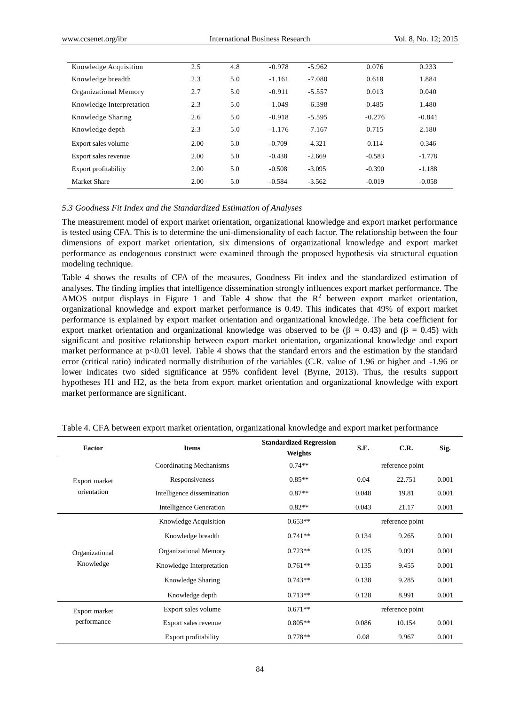| Knowledge Acquisition    | 2.5  | 4.8 | $-0.978$ | $-5.962$ | 0.076    | 0.233    |
|--------------------------|------|-----|----------|----------|----------|----------|
| Knowledge breadth        | 2.3  | 5.0 | $-1.161$ | $-7.080$ | 0.618    | 1.884    |
| Organizational Memory    | 2.7  | 5.0 | $-0.911$ | $-5.557$ | 0.013    | 0.040    |
| Knowledge Interpretation | 2.3  | 5.0 | $-1.049$ | $-6.398$ | 0.485    | 1.480    |
| Knowledge Sharing        | 2.6  | 5.0 | $-0.918$ | $-5.595$ | $-0.276$ | $-0.841$ |
| Knowledge depth          | 2.3  | 5.0 | $-1.176$ | $-7.167$ | 0.715    | 2.180    |
| Export sales volume      | 2.00 | 5.0 | $-0.709$ | $-4.321$ | 0.114    | 0.346    |
| Export sales revenue     | 2.00 | 5.0 | $-0.438$ | $-2.669$ | $-0.583$ | $-1.778$ |
| Export profitability     | 2.00 | 5.0 | $-0.508$ | $-3.095$ | $-0.390$ | $-1.188$ |
| Market Share             | 2.00 | 5.0 | $-0.584$ | $-3.562$ | $-0.019$ | $-0.058$ |

#### *5.3 Goodness Fit Index and the Standardized Estimation of Analyses*

The measurement model of export market orientation, organizational knowledge and export market performance is tested using CFA. This is to determine the uni-dimensionality of each factor. The relationship between the four dimensions of export market orientation, six dimensions of organizational knowledge and export market performance as endogenous construct were examined through the proposed hypothesis via structural equation modeling technique.

Table 4 shows the results of CFA of the measures, Goodness Fit index and the standardized estimation of analyses. The finding implies that intelligence dissemination strongly influences export market performance. The AMOS output displays in Figure 1 and Table 4 show that the  $R^2$  between export market orientation, organizational knowledge and export market performance is 0.49. This indicates that 49% of export market performance is explained by export market orientation and organizational knowledge. The beta coefficient for export market orientation and organizational knowledge was observed to be  $(\beta = 0.43)$  and  $(\beta = 0.45)$  with significant and positive relationship between export market orientation, organizational knowledge and export market performance at p<0.01 level. Table 4 shows that the standard errors and the estimation by the standard error (critical ratio) indicated normally distribution of the variables (C.R. value of 1.96 or higher and -1.96 or lower indicates two sided significance at 95% confident level (Byrne, 2013). Thus, the results support hypotheses H1 and H2, as the beta from export market orientation and organizational knowledge with export market performance are significant.

| Factor         | <b>Items</b>                   | <b>Standardized Regression</b><br>Weights | S.E.            | C.R.            | Sig.  |
|----------------|--------------------------------|-------------------------------------------|-----------------|-----------------|-------|
|                | Coordinating Mechanisms        | $0.74**$                                  | reference point |                 |       |
| Export market  | Responsiveness                 | $0.85**$                                  | 0.04            | 22.751          | 0.001 |
| orientation    | Intelligence dissemination     | $0.87**$                                  | 0.048           | 19.81           | 0.001 |
|                | <b>Intelligence Generation</b> | $0.82**$                                  | 0.043           | 21.17           | 0.001 |
|                | Knowledge Acquisition          | $0.653**$                                 | reference point |                 |       |
|                | Knowledge breadth              | $0.741**$                                 | 0.134           | 9.265           | 0.001 |
| Organizational | <b>Organizational Memory</b>   | $0.723**$                                 | 0.125           | 9.091           | 0.001 |
| Knowledge      | Knowledge Interpretation       | $0.761**$                                 | 0.135           | 9.455           | 0.001 |
|                | Knowledge Sharing              | $0.743**$                                 | 0.138           | 9.285           | 0.001 |
|                | Knowledge depth                | $0.713**$                                 | 0.128           | 8.991           | 0.001 |
| Export market  | Export sales volume            | $0.671**$                                 |                 | reference point |       |
| performance    | Export sales revenue           | $0.805**$                                 | 0.086           | 10.154          | 0.001 |
|                | Export profitability           | $0.778**$                                 | 0.08            | 9.967           | 0.001 |

Table 4. CFA between export market orientation, organizational knowledge and export market performance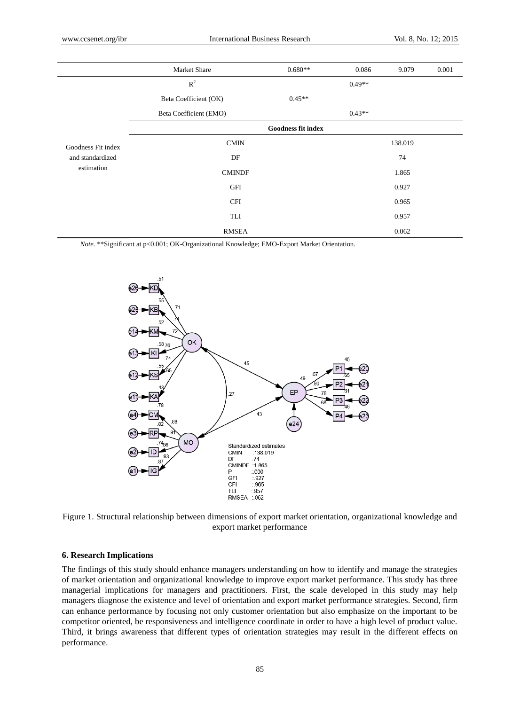|                                        | Market Share           | $0.680**$                 | 0.086    | 9.079   | 0.001 |
|----------------------------------------|------------------------|---------------------------|----------|---------|-------|
|                                        | $R^2$                  |                           | $0.49**$ |         |       |
|                                        | Beta Coefficient (OK)  | $0.45**$                  |          |         |       |
|                                        | Beta Coefficient (EMO) |                           | $0.43**$ |         |       |
|                                        |                        | <b>Goodness fit index</b> |          |         |       |
| Goodness Fit index<br>and standardized | <b>CMIN</b>            |                           |          | 138.019 |       |
|                                        | DF                     |                           |          | 74      |       |
| estimation                             | <b>CMINDF</b>          |                           |          | 1.865   |       |
|                                        | <b>GFI</b>             |                           |          | 0.927   |       |
|                                        | <b>CFI</b>             |                           |          | 0.965   |       |
|                                        | TLI                    |                           |          | 0.957   |       |
|                                        | <b>RMSEA</b>           |                           |          | 0.062   |       |

*Note.* \*\*Significant at p<0.001; OK-Organizational Knowledge; EMO-Export Market Orientation.



Figure 1. Structural relationship between dimensions of export market orientation, organizational knowledge and export market performance

## **6. Research Implications**

The findings of this study should enhance managers understanding on how to identify and manage the strategies of market orientation and organizational knowledge to improve export market performance. This study has three managerial implications for managers and practitioners. First, the scale developed in this study may help managers diagnose the existence and level of orientation and export market performance strategies. Second, firm can enhance performance by focusing not only customer orientation but also emphasize on the important to be competitor oriented, be responsiveness and intelligence coordinate in order to have a high level of product value. Third, it brings awareness that different types of orientation strategies may result in the different effects on performance.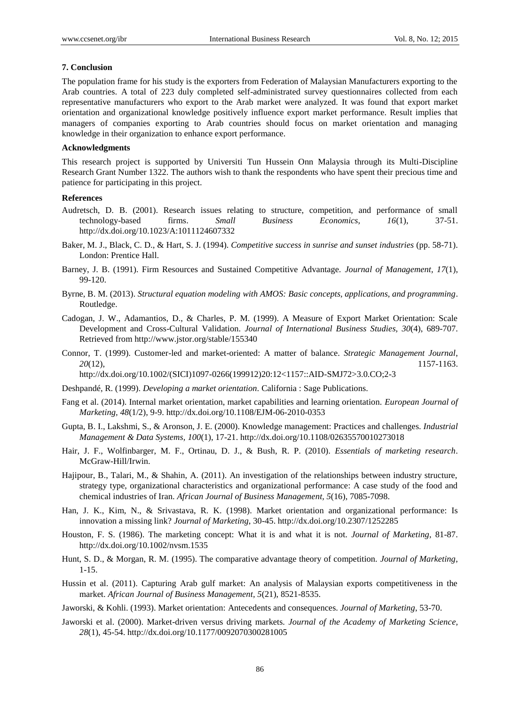#### **7. Conclusion**

The population frame for his study is the exporters from Federation of Malaysian Manufacturers exporting to the Arab countries. A total of 223 duly completed self-administrated survey questionnaires collected from each representative manufacturers who export to the Arab market were analyzed. It was found that export market orientation and organizational knowledge positively influence export market performance. Result implies that managers of companies exporting to Arab countries should focus on market orientation and managing knowledge in their organization to enhance export performance.

### **Acknowledgments**

This research project is supported by Universiti Tun Hussein Onn Malaysia through its Multi-Discipline Research Grant Number 1322. The authors wish to thank the respondents who have spent their precious time and patience for participating in this project.

### **References**

- Audretsch, D. B. (2001). Research issues relating to structure, competition, and performance of small technology-based firms. *Small Business Economics, 16*(1), 37-51. http://dx.doi.org/10.1023/A:1011124607332
- Baker, M. J., Black, C. D., & Hart, S. J. (1994). *Competitive success in sunrise and sunset industries* (pp. 58-71). London: Prentice Hall.
- Barney, J. B. (1991). Firm Resources and Sustained Competitive Advantage. *Journal of Management, 17*(1), 99-120.
- Byrne, B. M. (2013). *Structural equation modeling with AMOS: Basic concepts, applications, and programming*. Routledge.
- Cadogan, J. W., Adamantios, D., & Charles, P. M. (1999). A Measure of Export Market Orientation: Scale Development and Cross-Cultural Validation. *Journal of International Business Studies, 30*(4), 689-707. Retrieved from http://www.jstor.org/stable/155340
- Connor, T. (1999). Customer-led and market-oriented: A matter of balance. *Strategic Management Journal*, *20*(12), 1157-1163.

http://dx.doi.org/10.1002/(SICI)1097-0266(199912)20:12<1157::AID-SMJ72>3.0.CO;2-3

- Deshpandé, R. (1999). *Developing a market orientation.* California : Sage Publications.
- Fang et al. (2014). Internal market orientation, market capabilities and learning orientation. *European Journal of Marketing, 48*(1/2), 9-9. http://dx.doi.org/10.1108/EJM-06-2010-0353
- Gupta, B. I., Lakshmi, S., & Aronson, J. E. (2000). Knowledge management: Practices and challenges. *Industrial Management & Data Systems, 100*(1), 17-21. http://dx.doi.org/10.1108/02635570010273018
- Hair, J. F., Wolfinbarger, M. F., Ortinau, D. J., & Bush, R. P. (2010). *Essentials of marketing research*. McGraw-Hill/Irwin.
- Hajipour, B., Talari, M., & Shahin, A. (2011). An investigation of the relationships between industry structure, strategy type, organizational characteristics and organizational performance: A case study of the food and chemical industries of Iran. *African Journal of Business Management, 5*(16), 7085-7098.
- Han, J. K., Kim, N., & Srivastava, R. K. (1998). Market orientation and organizational performance: Is innovation a missing link? *Journal of Marketing*, 30-45. http://dx.doi.org/10.2307/1252285
- <span id="page-6-0"></span>Houston, F. S. (1986). The marketing concept: What it is and what it is not. *Journal of Marketing*, 81-87. http://dx.doi.org/10.1002/nvsm.1535
- Hunt, S. D., & Morgan, R. M. (1995). The comparative advantage theory of competition. *Journal of Marketing*, 1-15.
- Hussin et al. (2011). Capturing Arab gulf market: An analysis of Malaysian exports competitiveness in the market. *African Journal of Business Management, 5*(21), 8521-8535.
- Jaworski, & Kohli. (1993). Market orientation: Antecedents and consequences. *Journal of Marketing*, 53-70.
- Jaworski et al. (2000). Market-driven versus driving markets. *Journal of the Academy of Marketing Science, 28*(1), 45-54. http://dx.doi.org/10.1177/0092070300281005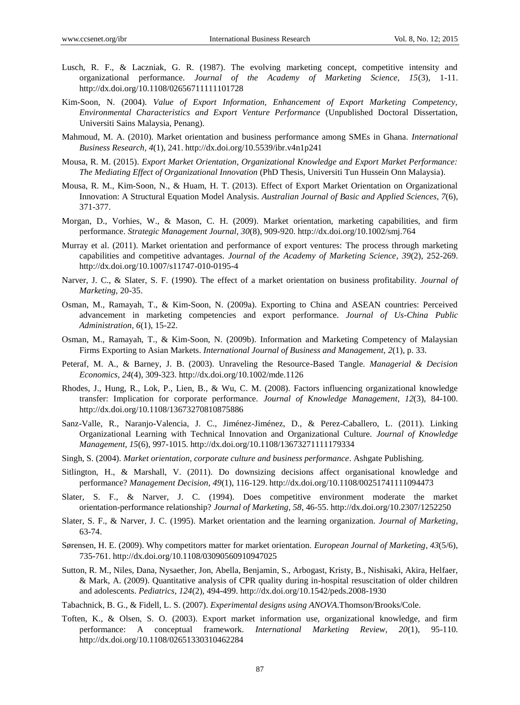- Lusch, R. F., & Laczniak, G. R. (1987). The evolving marketing concept, competitive intensity and organizational performance. *Journal of the Academy of Marketing Science, 15*(3), 1-11. http://dx.doi.org/10.1108/02656711111101728
- Kim-Soon, N. (2004). *Value of Export Information, Enhancement of Export Marketing Competency, Environmental Characteristics and Export Venture Performance* (Unpublished Doctoral Dissertation, Universiti Sains Malaysia, Penang).
- Mahmoud, M. A. (2010). Market orientation and business performance among SMEs in Ghana. *International Business Research, 4*(1), 241. http://dx.doi.org/10.5539/ibr.v4n1p241
- Mousa, R. M. (2015). *Export Market Orientation, Organizational Knowledge and Export Market Performance: The Mediating Effect of Organizational Innovation* (PhD Thesis, Universiti Tun Hussein Onn Malaysia).
- Mousa, R. M., Kim-Soon, N., & Huam, H. T. (2013). Effect of Export Market Orientation on Organizational Innovation: A Structural Equation Model Analysis. *Australian Journal of Basic and Applied Sciences, 7*(6), 371-377.
- Morgan, D., Vorhies, W., & Mason, C. H. (2009). Market orientation, marketing capabilities, and firm performance. *Strategic Management Journal, 30*(8), 909-920. http://dx.doi.org/10.1002/smj.764
- Murray et al. (2011). Market orientation and performance of export ventures: The process through marketing capabilities and competitive advantages. *Journal of the Academy of Marketing Science, 39*(2), 252-269. http://dx.doi.org/10.1007/s11747-010-0195-4
- Narver, J. C., & Slater, S. F. (1990). The effect of a market orientation on business profitability. *Journal of Marketing*, 20-35.
- Osman, M., Ramayah, T., & Kim-Soon, N. (2009a). Exporting to China and ASEAN countries: Perceived advancement in marketing competencies and export performance. *Journal of Us-China Public Administration, 6*(1), 15-22.
- Osman, M., Ramayah, T., & Kim-Soon, N. (2009b). Information and Marketing Competency of Malaysian Firms Exporting to Asian Markets. *International Journal of Business and Management, 2*(1), p. 33.
- Peteraf, M. A., & Barney, J. B. (2003). Unraveling the Resource-Based Tangle. *Managerial & Decision Economics, 24*(4), 309-323. http://dx.doi.org/10.1002/mde.1126
- <span id="page-7-0"></span>Rhodes, J., Hung, R., Lok, P., Lien, B., & Wu, C. M. (2008). Factors influencing organizational knowledge transfer: Implication for corporate performance. *Journal of Knowledge Management, 12*(3), 84-100. http://dx.doi.org/10.1108/13673270810875886
- Sanz-Valle, R., Naranjo-Valencia, J. C., Jiménez-Jiménez, D., & Perez-Caballero, L. (2011). Linking Organizational Learning with Technical Innovation and Organizational Culture. *Journal of Knowledge Management, 15*(6), 997-1015.<http://dx.doi.org/10.1108/13673271111179334>
- Singh, S. (2004). *Market orientation, corporate culture and business performance*. Ashgate Publishing.
- Sitlington, H., & Marshall, V. (2011). Do downsizing decisions affect organisational knowledge and performance? *Management Decision, 49*(1), 116-129. http://dx.doi.org/10.1108/00251741111094473
- Slater, S. F., & Narver, J. C. (1994). Does competitive environment moderate the market orientation-performance relationship? *Journal of Marketing, 58*, 46-55. http://dx.doi.org/10.2307/1252250
- Slater, S. F., & Narver, J. C. (1995). Market orientation and the learning organization. *Journal of Marketing*, 63-74.
- Sørensen, H. E. (2009). Why competitors matter for market orientation. *European Journal of Marketing, 43*(5/6), 735-761. http://dx.doi.org/10.1108/03090560910947025
- Sutton, R. M., Niles, Dana, Nysaether, Jon, Abella, Benjamin, S., Arbogast, Kristy, B., Nishisaki, Akira, Helfaer, & Mark, A. (2009). Quantitative analysis of CPR quality during in-hospital resuscitation of older children and adolescents. *Pediatrics, 124*(2), 494-499. http://dx.doi.org/10.1542/peds.2008-1930

Tabachnick, B. G., & Fidell, L. S. (2007). *Experimental designs using ANOVA.*Thomson/Brooks/Cole.

Toften, K., & Olsen, S. O. (2003). Export market information use, organizational knowledge, and firm performance: A conceptual framework. *International Marketing Review, 20*(1), 95-110. http://dx.doi.org/10.1108/02651330310462284